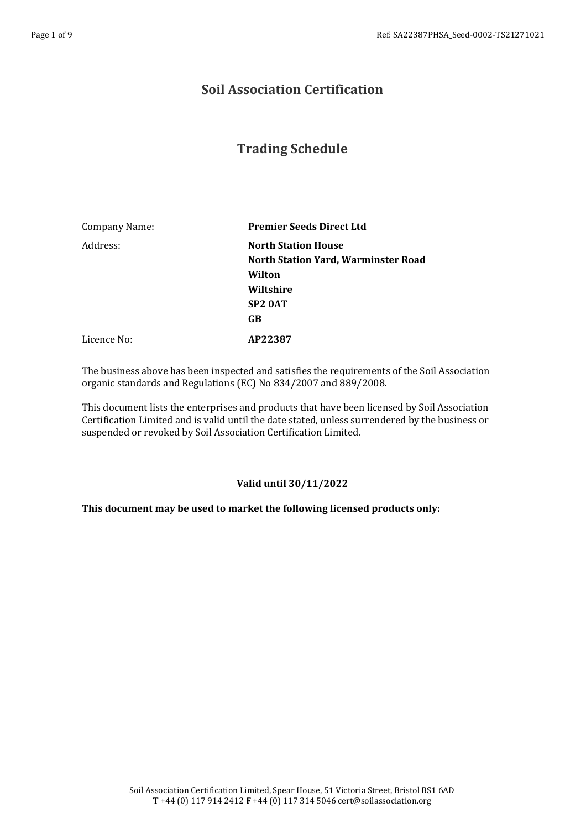## **Soil Association Certification**

## **Trading Schedule**

| Company Name: | <b>Premier Seeds Direct Ltd</b>     |
|---------------|-------------------------------------|
| Address:      | <b>North Station House</b>          |
|               | North Station Yard, Warminster Road |
|               | Wilton                              |
|               | Wiltshire                           |
|               | SP <sub>2</sub> 0AT                 |
|               | GB                                  |
| Licence No:   | AP22387                             |

The business above has been inspected and satisfies the requirements of the Soil Association organic standards and Regulations (EC) No 834/2007 and 889/2008.

This document lists the enterprises and products that have been licensed by Soil Association Certification Limited and is valid until the date stated, unless surrendered by the business or suspended or revoked by Soil Association Certification Limited.

## **Valid until 30/11/2022**

## **This document may be used to market the following licensed products only:**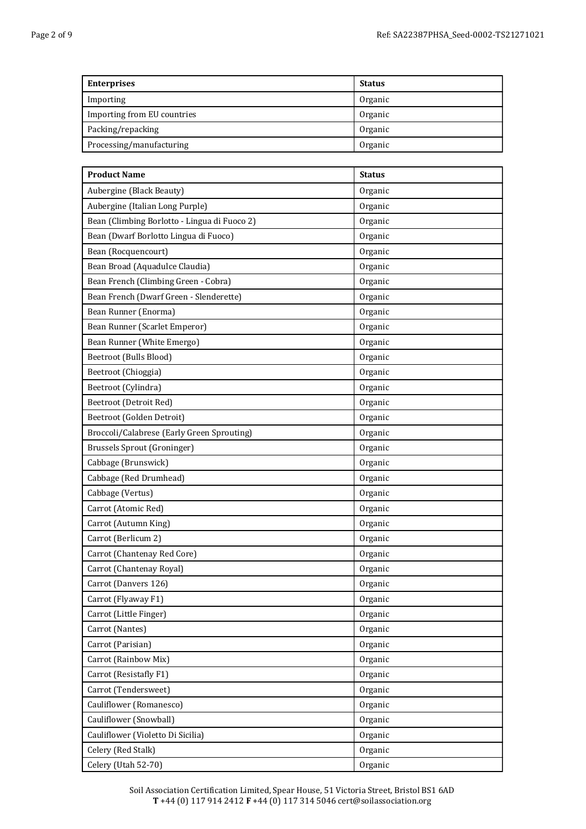| <b>Enterprises</b>          | <b>Status</b> |
|-----------------------------|---------------|
| Importing                   | Organic       |
| Importing from EU countries | Organic       |
| Packing/repacking           | Organic       |
| Processing/manufacturing    | Organic       |

| <b>Product Name</b>                          | <b>Status</b> |
|----------------------------------------------|---------------|
| Aubergine (Black Beauty)                     | Organic       |
| Aubergine (Italian Long Purple)              | Organic       |
| Bean (Climbing Borlotto - Lingua di Fuoco 2) | Organic       |
| Bean (Dwarf Borlotto Lingua di Fuoco)        | Organic       |
| Bean (Rocquencourt)                          | Organic       |
| Bean Broad (Aquadulce Claudia)               | Organic       |
| Bean French (Climbing Green - Cobra)         | Organic       |
| Bean French (Dwarf Green - Slenderette)      | Organic       |
| Bean Runner (Enorma)                         | Organic       |
| Bean Runner (Scarlet Emperor)                | Organic       |
| Bean Runner (White Emergo)                   | Organic       |
| Beetroot (Bulls Blood)                       | Organic       |
| Beetroot (Chioggia)                          | Organic       |
| Beetroot (Cylindra)                          | Organic       |
| Beetroot (Detroit Red)                       | Organic       |
| Beetroot (Golden Detroit)                    | Organic       |
| Broccoli/Calabrese (Early Green Sprouting)   | Organic       |
| <b>Brussels Sprout (Groninger)</b>           | Organic       |
| Cabbage (Brunswick)                          | Organic       |
| Cabbage (Red Drumhead)                       | Organic       |
| Cabbage (Vertus)                             | Organic       |
| Carrot (Atomic Red)                          | Organic       |
| Carrot (Autumn King)                         | Organic       |
| Carrot (Berlicum 2)                          | Organic       |
| Carrot (Chantenay Red Core)                  | Organic       |
| Carrot (Chantenay Royal)                     | Organic       |
| Carrot (Danvers 126)                         | Organic       |
| Carrot (Flyaway F1)                          | Organic       |
| Carrot (Little Finger)                       | Organic       |
| Carrot (Nantes)                              | Organic       |
| Carrot (Parisian)                            | Organic       |
| Carrot (Rainbow Mix)                         | Organic       |
| Carrot (Resistafly F1)                       | Organic       |
| Carrot (Tendersweet)                         | Organic       |
| Cauliflower (Romanesco)                      | Organic       |
| Cauliflower (Snowball)                       | Organic       |
| Cauliflower (Violetto Di Sicilia)            | Organic       |
| Celery (Red Stalk)                           | Organic       |
| Celery (Utah 52-70)                          | Organic       |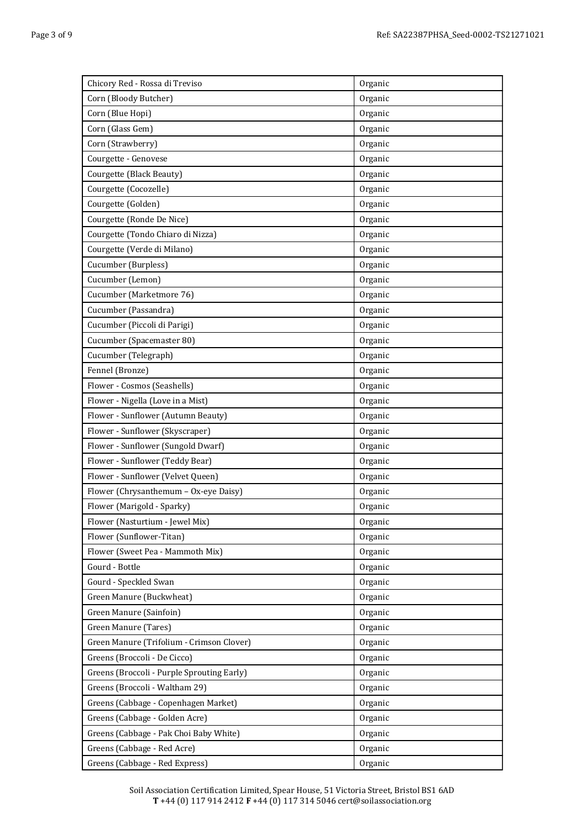| Chicory Red - Rossa di Treviso             | Organic |
|--------------------------------------------|---------|
| Corn (Bloody Butcher)                      | Organic |
| Corn (Blue Hopi)                           | Organic |
| Corn (Glass Gem)                           | Organic |
| Corn (Strawberry)                          | Organic |
| Courgette - Genovese                       | Organic |
| Courgette (Black Beauty)                   | Organic |
| Courgette (Cocozelle)                      | Organic |
| Courgette (Golden)                         | Organic |
| Courgette (Ronde De Nice)                  | Organic |
| Courgette (Tondo Chiaro di Nizza)          | Organic |
| Courgette (Verde di Milano)                | Organic |
| Cucumber (Burpless)                        | Organic |
| Cucumber (Lemon)                           | Organic |
| Cucumber (Marketmore 76)                   | Organic |
| Cucumber (Passandra)                       | Organic |
| Cucumber (Piccoli di Parigi)               | Organic |
| Cucumber (Spacemaster 80)                  | Organic |
| Cucumber (Telegraph)                       | Organic |
| Fennel (Bronze)                            | Organic |
| Flower - Cosmos (Seashells)                | Organic |
| Flower - Nigella (Love in a Mist)          | Organic |
| Flower - Sunflower (Autumn Beauty)         | Organic |
| Flower - Sunflower (Skyscraper)            | Organic |
| Flower - Sunflower (Sungold Dwarf)         | Organic |
| Flower - Sunflower (Teddy Bear)            | Organic |
| Flower - Sunflower (Velvet Queen)          | Organic |
| Flower (Chrysanthemum - Ox-eye Daisy)      | Organic |
| Flower (Marigold - Sparky)                 | Organic |
| Flower (Nasturtium - Jewel Mix)            | Organic |
| Flower (Sunflower-Titan)                   | Organic |
| Flower (Sweet Pea - Mammoth Mix)           | Organic |
| Gourd - Bottle                             | Organic |
| Gourd - Speckled Swan                      | Organic |
| Green Manure (Buckwheat)                   | Organic |
| Green Manure (Sainfoin)                    | Organic |
| Green Manure (Tares)                       | Organic |
| Green Manure (Trifolium - Crimson Clover)  | Organic |
| Greens (Broccoli - De Cicco)               | Organic |
| Greens (Broccoli - Purple Sprouting Early) | Organic |
| Greens (Broccoli - Waltham 29)             | Organic |
| Greens (Cabbage - Copenhagen Market)       | Organic |
| Greens (Cabbage - Golden Acre)             | Organic |
| Greens (Cabbage - Pak Choi Baby White)     | Organic |
| Greens (Cabbage - Red Acre)                | Organic |
| Greens (Cabbage - Red Express)             | Organic |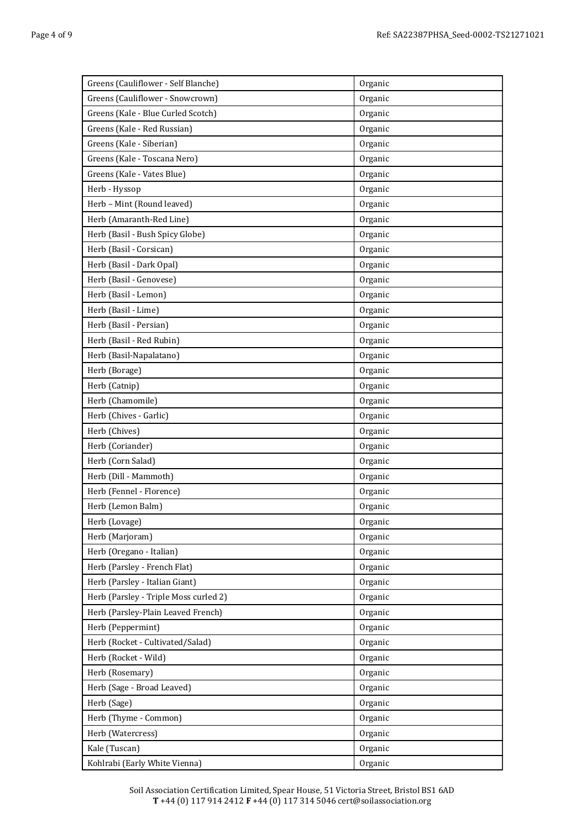| Greens (Cauliflower - Self Blanche)   | Organic |
|---------------------------------------|---------|
| Greens (Cauliflower - Snowcrown)      | Organic |
| Greens (Kale - Blue Curled Scotch)    | Organic |
| Greens (Kale - Red Russian)           | Organic |
| Greens (Kale - Siberian)              | Organic |
| Greens (Kale - Toscana Nero)          | Organic |
| Greens (Kale - Vates Blue)            | Organic |
| Herb - Hyssop                         | Organic |
| Herb - Mint (Round leaved)            | Organic |
| Herb (Amaranth-Red Line)              | Organic |
| Herb (Basil - Bush Spicy Globe)       | Organic |
| Herb (Basil - Corsican)               | Organic |
| Herb (Basil - Dark Opal)              | Organic |
| Herb (Basil - Genovese)               | Organic |
| Herb (Basil - Lemon)                  | Organic |
| Herb (Basil - Lime)                   | Organic |
| Herb (Basil - Persian)                | Organic |
| Herb (Basil - Red Rubin)              | Organic |
| Herb (Basil-Napalatano)               | Organic |
| Herb (Borage)                         | Organic |
| Herb (Catnip)                         | Organic |
| Herb (Chamomile)                      | Organic |
| Herb (Chives - Garlic)                | Organic |
| Herb (Chives)                         | Organic |
| Herb (Coriander)                      | Organic |
| Herb (Corn Salad)                     | Organic |
| Herb (Dill - Mammoth)                 | Organic |
| Herb (Fennel - Florence)              | Organic |
| Herb (Lemon Balm)                     | Organic |
| Herb (Lovage)                         | Organic |
| Herb (Marjoram)                       | Organic |
| Herb (Oregano - Italian)              | Organic |
| Herb (Parsley - French Flat)          | Organic |
| Herb (Parsley - Italian Giant)        | Organic |
| Herb (Parsley - Triple Moss curled 2) | Organic |
| Herb (Parsley-Plain Leaved French)    | Organic |
| Herb (Peppermint)                     | Organic |
| Herb (Rocket - Cultivated/Salad)      | Organic |
| Herb (Rocket - Wild)                  | Organic |
| Herb (Rosemary)                       | Organic |
| Herb (Sage - Broad Leaved)            | Organic |
| Herb (Sage)                           | Organic |
| Herb (Thyme - Common)                 | Organic |
| Herb (Watercress)                     | Organic |
| Kale (Tuscan)                         | Organic |
| Kohlrabi (Early White Vienna)         | Organic |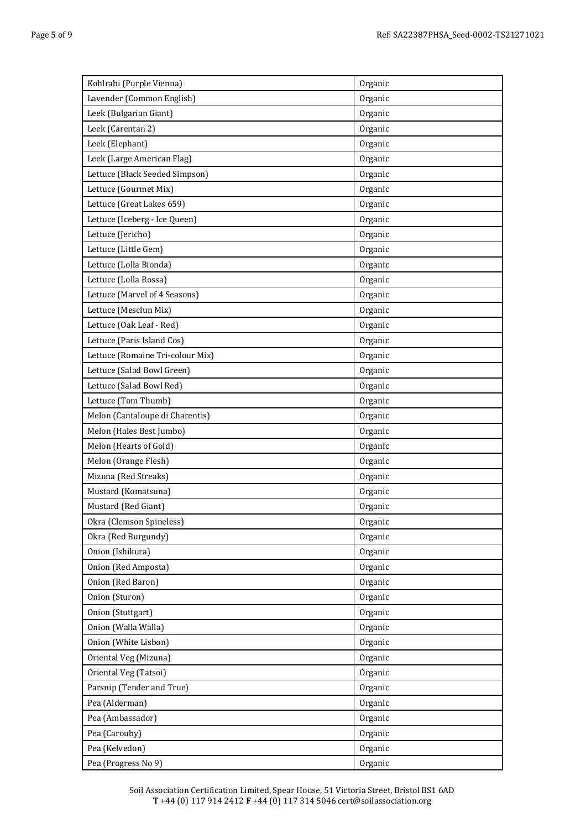| Kohlrabi (Purple Vienna)         | Organic |
|----------------------------------|---------|
| Lavender (Common English)        | Organic |
| Leek (Bulgarian Giant)           | Organic |
| Leek (Carentan 2)                | Organic |
| Leek (Elephant)                  | Organic |
| Leek (Large American Flag)       | Organic |
| Lettuce (Black Seeded Simpson)   | Organic |
| Lettuce (Gourmet Mix)            | Organic |
| Lettuce (Great Lakes 659)        | Organic |
| Lettuce (Iceberg - Ice Queen)    | Organic |
| Lettuce (Jericho)                | Organic |
| Lettuce (Little Gem)             | Organic |
| Lettuce (Lolla Bionda)           | Organic |
| Lettuce (Lolla Rossa)            | Organic |
| Lettuce (Marvel of 4 Seasons)    | Organic |
| Lettuce (Mesclun Mix)            | Organic |
| Lettuce (Oak Leaf - Red)         | Organic |
| Lettuce (Paris Island Cos)       | Organic |
| Lettuce (Romaine Tri-colour Mix) | Organic |
| Lettuce (Salad Bowl Green)       | Organic |
| Lettuce (Salad Bowl Red)         | Organic |
| Lettuce (Tom Thumb)              | Organic |
| Melon (Cantaloupe di Charentis)  | Organic |
| Melon (Hales Best Jumbo)         | Organic |
| Melon (Hearts of Gold)           | Organic |
| Melon (Orange Flesh)             | Organic |
| Mizuna (Red Streaks)             | Organic |
| Mustard (Komatsuna)              | Organic |
| Mustard (Red Giant)              | Organic |
| Okra (Clemson Spineless)         | Organic |
| Okra (Red Burgundy)              | Organic |
| Onion (Ishikura)                 | Organic |
| Onion (Red Amposta)              | Organic |
| Onion (Red Baron)                | Organic |
| Onion (Sturon)                   | Organic |
| Onion (Stuttgart)                | Organic |
| Onion (Walla Walla)              | Organic |
| Onion (White Lisbon)             | Organic |
| Oriental Veg (Mizuna)            | Organic |
| Oriental Veg (Tatsoi)            | Organic |
| Parsnip (Tender and True)        | Organic |
| Pea (Alderman)                   | Organic |
| Pea (Ambassador)                 | Organic |
| Pea (Carouby)                    | Organic |
| Pea (Kelvedon)                   | Organic |
| Pea (Progress No 9)              | Organic |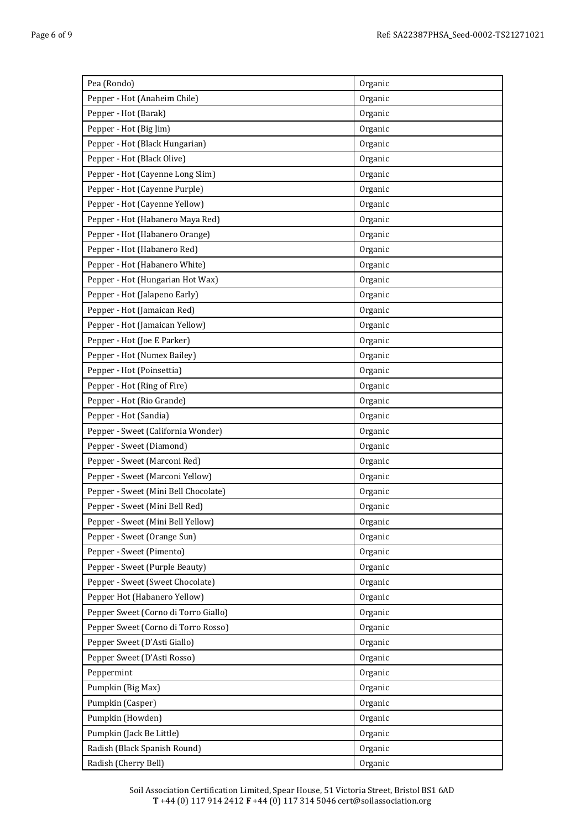| Pea (Rondo)                          | Organic |
|--------------------------------------|---------|
| Pepper - Hot (Anaheim Chile)         | Organic |
| Pepper - Hot (Barak)                 | Organic |
| Pepper - Hot (Big Jim)               | Organic |
| Pepper - Hot (Black Hungarian)       | Organic |
| Pepper - Hot (Black Olive)           | Organic |
| Pepper - Hot (Cayenne Long Slim)     | Organic |
| Pepper - Hot (Cayenne Purple)        | Organic |
| Pepper - Hot (Cayenne Yellow)        | Organic |
| Pepper - Hot (Habanero Maya Red)     | Organic |
| Pepper - Hot (Habanero Orange)       | Organic |
| Pepper - Hot (Habanero Red)          | Organic |
| Pepper - Hot (Habanero White)        | Organic |
| Pepper - Hot (Hungarian Hot Wax)     | Organic |
| Pepper - Hot (Jalapeno Early)        | Organic |
| Pepper - Hot (Jamaican Red)          | Organic |
| Pepper - Hot (Jamaican Yellow)       | Organic |
| Pepper - Hot (Joe E Parker)          | Organic |
| Pepper - Hot (Numex Bailey)          | Organic |
| Pepper - Hot (Poinsettia)            | Organic |
| Pepper - Hot (Ring of Fire)          | Organic |
| Pepper - Hot (Rio Grande)            | Organic |
| Pepper - Hot (Sandia)                | Organic |
| Pepper - Sweet (California Wonder)   | Organic |
| Pepper - Sweet (Diamond)             | Organic |
| Pepper - Sweet (Marconi Red)         | Organic |
| Pepper - Sweet (Marconi Yellow)      | Organic |
| Pepper - Sweet (Mini Bell Chocolate) | Organic |
| Pepper - Sweet (Mini Bell Red)       | Organic |
| Pepper - Sweet (Mini Bell Yellow)    | Organic |
| Pepper - Sweet (Orange Sun)          | Organic |
| Pepper - Sweet (Pimento)             | Organic |
| Pepper - Sweet (Purple Beauty)       | Organic |
| Pepper - Sweet (Sweet Chocolate)     | Organic |
| Pepper Hot (Habanero Yellow)         | Organic |
| Pepper Sweet (Corno di Torro Giallo) | Organic |
| Pepper Sweet (Corno di Torro Rosso)  | Organic |
| Pepper Sweet (D'Asti Giallo)         | Organic |
| Pepper Sweet (D'Asti Rosso)          | Organic |
| Peppermint                           | Organic |
| Pumpkin (Big Max)                    | Organic |
| Pumpkin (Casper)                     | Organic |
| Pumpkin (Howden)                     | Organic |
| Pumpkin (Jack Be Little)             | Organic |
| Radish (Black Spanish Round)         | Organic |
| Radish (Cherry Bell)                 | Organic |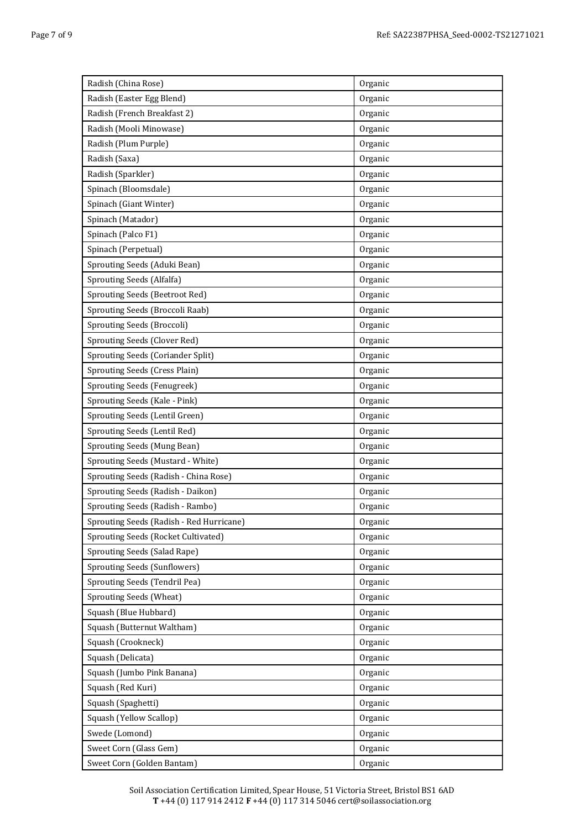| Radish (China Rose)                      | Organic |
|------------------------------------------|---------|
| Radish (Easter Egg Blend)                | Organic |
| Radish (French Breakfast 2)              | Organic |
| Radish (Mooli Minowase)                  | Organic |
| Radish (Plum Purple)                     | Organic |
| Radish (Saxa)                            | Organic |
| Radish (Sparkler)                        | Organic |
| Spinach (Bloomsdale)                     | Organic |
| Spinach (Giant Winter)                   | Organic |
| Spinach (Matador)                        | Organic |
| Spinach (Palco F1)                       | Organic |
| Spinach (Perpetual)                      | Organic |
| Sprouting Seeds (Aduki Bean)             | Organic |
| Sprouting Seeds (Alfalfa)                | Organic |
| Sprouting Seeds (Beetroot Red)           | Organic |
| Sprouting Seeds (Broccoli Raab)          | Organic |
| Sprouting Seeds (Broccoli)               | Organic |
| Sprouting Seeds (Clover Red)             | Organic |
| Sprouting Seeds (Coriander Split)        | Organic |
| Sprouting Seeds (Cress Plain)            | Organic |
| Sprouting Seeds (Fenugreek)              | Organic |
| Sprouting Seeds (Kale - Pink)            | Organic |
| Sprouting Seeds (Lentil Green)           | Organic |
| Sprouting Seeds (Lentil Red)             | Organic |
| Sprouting Seeds (Mung Bean)              | Organic |
| Sprouting Seeds (Mustard - White)        | Organic |
| Sprouting Seeds (Radish - China Rose)    | Organic |
| Sprouting Seeds (Radish - Daikon)        | Organic |
| Sprouting Seeds (Radish - Rambo)         | Organic |
| Sprouting Seeds (Radish - Red Hurricane) | Organic |
| Sprouting Seeds (Rocket Cultivated)      | Organic |
| Sprouting Seeds (Salad Rape)             | Organic |
| Sprouting Seeds (Sunflowers)             | Organic |
| Sprouting Seeds (Tendril Pea)            | Organic |
| <b>Sprouting Seeds (Wheat)</b>           | Organic |
| Squash (Blue Hubbard)                    | Organic |
| Squash (Butternut Waltham)               | Organic |
| Squash (Crookneck)                       | Organic |
| Squash (Delicata)                        | Organic |
| Squash (Jumbo Pink Banana)               | Organic |
| Squash (Red Kuri)                        | Organic |
| Squash (Spaghetti)                       | Organic |
| Squash (Yellow Scallop)                  | Organic |
| Swede (Lomond)                           | Organic |
| Sweet Corn (Glass Gem)                   | Organic |
| Sweet Corn (Golden Bantam)               | Organic |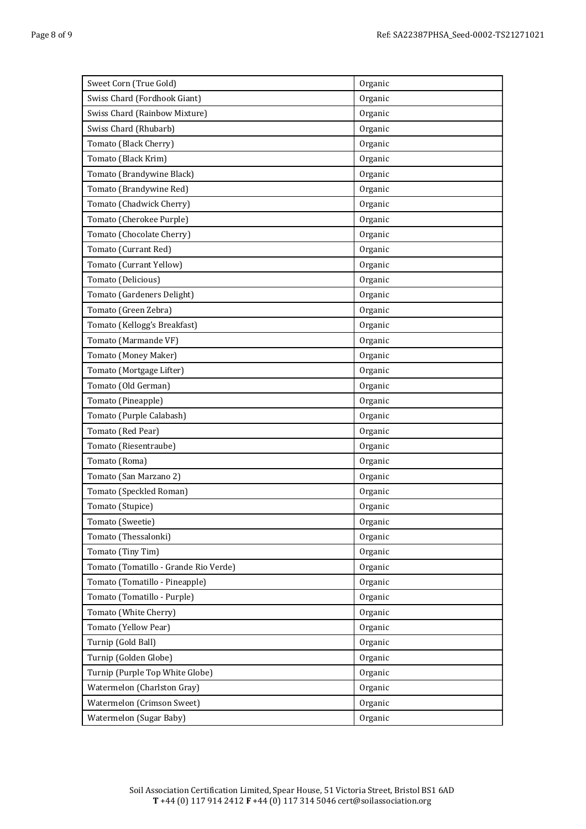| Sweet Corn (True Gold)                | Organic |
|---------------------------------------|---------|
| Swiss Chard (Fordhook Giant)          | Organic |
| Swiss Chard (Rainbow Mixture)         | Organic |
| Swiss Chard (Rhubarb)                 | Organic |
| Tomato (Black Cherry)                 | Organic |
| Tomato (Black Krim)                   | Organic |
| Tomato (Brandywine Black)             | Organic |
| Tomato (Brandywine Red)               | Organic |
| Tomato (Chadwick Cherry)              | Organic |
| Tomato (Cherokee Purple)              | Organic |
| Tomato (Chocolate Cherry)             | Organic |
| Tomato (Currant Red)                  | Organic |
| Tomato (Currant Yellow)               | Organic |
| Tomato (Delicious)                    | Organic |
| Tomato (Gardeners Delight)            | Organic |
| Tomato (Green Zebra)                  | Organic |
| Tomato (Kellogg's Breakfast)          | Organic |
| Tomato (Marmande VF)                  | Organic |
| Tomato (Money Maker)                  | Organic |
| Tomato (Mortgage Lifter)              | Organic |
| Tomato (Old German)                   | Organic |
| Tomato (Pineapple)                    | Organic |
| Tomato (Purple Calabash)              | Organic |
| Tomato (Red Pear)                     | Organic |
| Tomato (Riesentraube)                 | Organic |
| Tomato (Roma)                         | Organic |
| Tomato (San Marzano 2)                | Organic |
| Tomato (Speckled Roman)               | Organic |
| Tomato (Stupice)                      | Organic |
| Tomato (Sweetie)                      | Organic |
| Tomato (Thessalonki)                  | Organic |
| Tomato (Tiny Tim)                     | Organic |
| Tomato (Tomatillo - Grande Rio Verde) | Organic |
| Tomato (Tomatillo - Pineapple)        | Organic |
| Tomato (Tomatillo - Purple)           | Organic |
| Tomato (White Cherry)                 | Organic |
| Tomato (Yellow Pear)                  | Organic |
| Turnip (Gold Ball)                    | Organic |
| Turnip (Golden Globe)                 | Organic |
| Turnip (Purple Top White Globe)       | Organic |
| Watermelon (Charlston Gray)           | Organic |
| Watermelon (Crimson Sweet)            | Organic |
| Watermelon (Sugar Baby)               | Organic |